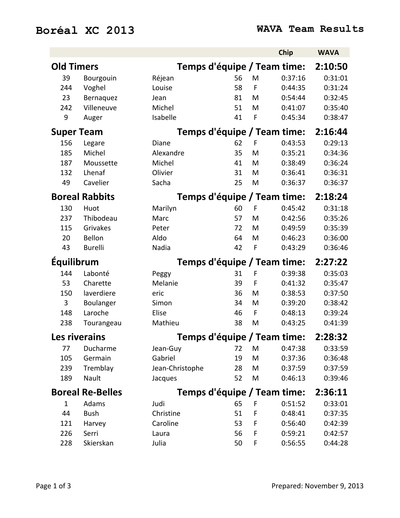## **Boréal XC 2013 WAVA Team Results**

|                         |                       |                 |                             |             | Chip                        | <b>WAVA</b> |
|-------------------------|-----------------------|-----------------|-----------------------------|-------------|-----------------------------|-------------|
| <b>Old Timers</b>       |                       |                 |                             |             | Temps d'équipe / Team time: | 2:10:50     |
| 39                      | Bourgouin             | Réjean          | 56                          | M           | 0:37:16                     | 0:31:01     |
| 244                     | Voghel                | Louise          | 58                          | $\mathsf F$ | 0:44:35                     | 0:31:24     |
| 23                      | Bernaquez             | Jean            | 81                          | M           | 0:54:44                     | 0:32:45     |
| 242                     | Villeneuve            | Michel          | 51                          | M           | 0:41:07                     | 0:35:40     |
| 9                       | Auger                 | Isabelle        | 41                          | F           | 0:45:34                     | 0:38:47     |
| <b>Super Team</b>       |                       |                 |                             |             | Temps d'équipe / Team time: | 2:16:44     |
| 156                     | Legare                | Diane           | 62                          | F           | 0:43:53                     | 0:29:13     |
| 185                     | Michel                | Alexandre       | 35                          | M           | 0:35:21                     | 0:34:36     |
| 187                     | Moussette             | Michel          | 41                          | M           | 0:38:49                     | 0:36:24     |
| 132                     | Lhenaf                | Olivier         | 31                          | M           | 0:36:41                     | 0:36:31     |
| 49                      | Cavelier              | Sacha           | 25                          | M           | 0:36:37                     | 0:36:37     |
|                         | <b>Boreal Rabbits</b> |                 |                             |             | Temps d'équipe / Team time: | 2:18:24     |
| 130                     | Huot                  | Marilyn         | 60                          | F           | 0:45:42                     | 0:31:18     |
| 237                     | Thibodeau             | Marc            | 57                          | M           | 0:42:56                     | 0:35:26     |
| 115                     | Grivakes              | Peter           | 72                          | M           | 0:49:59                     | 0:35:39     |
| 20                      | Bellon                | Aldo            | 64                          | M           | 0:46:23                     | 0:36:00     |
| 43                      | <b>Burelli</b>        | Nadia           | 42                          | F           | 0:43:29                     | 0:36:46     |
| <b>Équilibrum</b>       |                       |                 | Temps d'équipe / Team time: |             |                             | 2:27:22     |
| 144                     | Labonté               | Peggy           | 31                          | F           | 0:39:38                     | 0:35:03     |
| 53                      | Charette              | Melanie         | 39                          | F           | 0:41:32                     | 0:35:47     |
| 150                     | laverdiere            | eric            | 36                          | M           | 0:38:53                     | 0:37:50     |
| 3                       | Boulanger             | Simon           | 34                          | M           | 0:39:20                     | 0:38:42     |
| 148                     | Laroche               | Elise           | 46                          | F           | 0:48:13                     | 0:39:24     |
| 238                     | Tourangeau            | Mathieu         | 38                          | M           | 0:43:25                     | 0:41:39     |
|                         | <b>Les riverains</b>  |                 |                             |             | Temps d'équipe / Team time: | 2:28:32     |
| 77                      | Ducharme              | Jean-Guy        | 72                          | M           | 0:47:38                     | 0:33:59     |
| 105                     | Germain               | Gabriel         | 19                          | M           | 0:37:36                     | 0:36:48     |
| 239                     | Tremblay              | Jean-Christophe | 28                          | M           | 0:37:59                     | 0:37:59     |
| 189                     | Nault                 | Jacques         | 52                          | M           | 0:46:13                     | 0:39:46     |
| <b>Boreal Re-Belles</b> |                       |                 |                             |             | Temps d'équipe / Team time: | 2:36:11     |
| $\mathbf{1}$            | Adams                 | Judi            | 65                          | F           | 0:51:52                     | 0:33:01     |
| 44                      | <b>Bush</b>           | Christine       | 51                          | F           | 0:48:41                     | 0:37:35     |
| 121                     | Harvey                | Caroline        | 53                          | F           | 0:56:40                     | 0:42:39     |
| 226                     | Serri                 | Laura           | 56                          | F           | 0:59:21                     | 0:42:57     |
| 228                     | Skierskan             | Julia           | 50                          | F           | 0:56:55                     | 0:44:28     |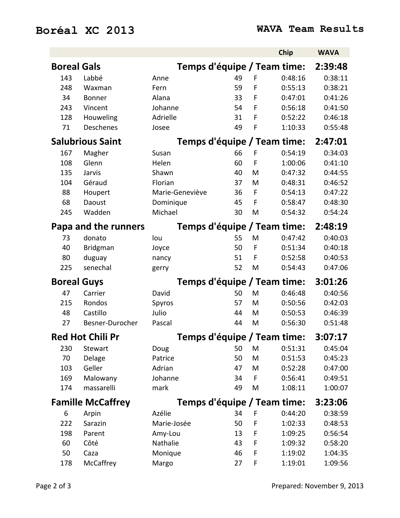## **Boréal XC 2013 WAVA Team Results**

|                          |                         |                 |    |   | Chip                        | <b>WAVA</b> |
|--------------------------|-------------------------|-----------------|----|---|-----------------------------|-------------|
| <b>Boreal Gals</b>       |                         |                 |    |   | Temps d'équipe / Team time: | 2:39:48     |
| 143                      | Labbé                   | Anne            | 49 | F | 0:48:16                     | 0:38:11     |
| 248                      | Waxman                  | Fern            | 59 | F | 0:55:13                     | 0:38:21     |
| 34                       | Bonner                  | Alana           | 33 | F | 0:47:01                     | 0:41:26     |
| 243                      | Vincent                 | Johanne         | 54 | F | 0:56:18                     | 0:41:50     |
| 128                      | Houweling               | Adrielle        | 31 | F | 0:52:22                     | 0:46:18     |
| 71                       | <b>Deschenes</b>        | Josee           | 49 | F | 1:10:33                     | 0:55:48     |
|                          | <b>Salubrious Saint</b> |                 |    |   | Temps d'équipe / Team time: | 2:47:01     |
| 167                      | Magher                  | Susan           | 66 | F | 0:54:19                     | 0:34:03     |
| 108                      | Glenn                   | Helen           | 60 | F | 1:00:06                     | 0:41:10     |
| 135                      | Jarvis                  | Shawn           | 40 | M | 0:47:32                     | 0:44:55     |
| 104                      | Géraud                  | Florian         | 37 | M | 0:48:31                     | 0:46:52     |
| 88                       | Houpert                 | Marie-Geneviève | 36 | F | 0:54:13                     | 0:47:22     |
| 68                       | Daoust                  | Dominique       | 45 | F | 0:58:47                     | 0:48:30     |
| 245                      | Wadden                  | Michael         | 30 | M | 0:54:32                     | 0:54:24     |
| Papa and the runners     |                         |                 |    |   | Temps d'équipe / Team time: | 2:48:19     |
| 73                       | donato                  | lou             | 55 | M | 0:47:42                     | 0:40:03     |
| 40                       | Bridgman                | Joyce           | 50 | F | 0:51:34                     | 0:40:18     |
| 80                       | duguay                  | nancy           | 51 | F | 0:52:58                     | 0:40:53     |
| 225                      | senechal                | gerry           | 52 | M | 0:54:43                     | 0:47:06     |
| <b>Boreal Guys</b>       |                         |                 |    |   | Temps d'équipe / Team time: | 3:01:26     |
| 47                       | Carrier                 | David           | 50 | M | 0:46:48                     | 0:40:56     |
| 215                      | Rondos                  | Spyros          | 57 | M | 0:50:56                     | 0:42:03     |
| 48                       | Castillo                | Julio           | 44 | M | 0:50:53                     | 0:46:39     |
| 27                       | Besner-Durocher         | Pascal          | 44 | M | 0:56:30                     | 0:51:48     |
|                          | <b>Red Hot Chili Pr</b> |                 |    |   | Temps d'équipe / Team time: | 3:07:17     |
| 230                      | Stewart                 | Doug            | 50 | M | 0:51:31                     | 0:45:04     |
| 70                       | Delage                  | Patrice         | 50 | M | 0:51:53                     | 0:45:23     |
| 103                      | Geller                  | Adrian          | 47 | M | 0:52:28                     | 0:47:00     |
| 169                      | Malowany                | Johanne         | 34 | F | 0:56:41                     | 0:49:51     |
| 174                      | massarelli              | mark            | 49 | M | 1:08:11                     | 1:00:07     |
| <b>Famille McCaffrey</b> |                         |                 |    |   | Temps d'équipe / Team time: | 3:23:06     |
| 6                        | Arpin                   | Azélie          | 34 | F | 0:44:20                     | 0:38:59     |
| 222                      | Sarazin                 | Marie-Josée     | 50 | F | 1:02:33                     | 0:48:53     |
| 198                      | Parent                  | Amy-Lou         | 13 | F | 1:09:25                     | 0:56:54     |
| 60                       | Côté                    | Nathalie        | 43 | F | 1:09:32                     | 0:58:20     |
| 50                       | Caza                    | Monique         | 46 | F | 1:19:02                     | 1:04:35     |
| 178                      | McCaffrey               | Margo           | 27 | F | 1:19:01                     | 1:09:56     |